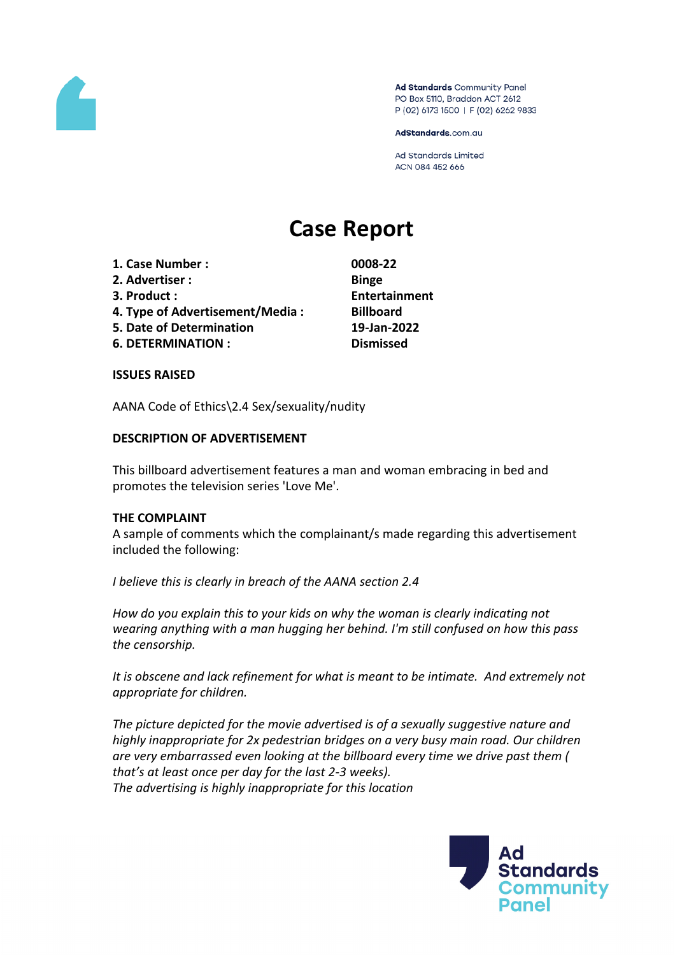

Ad Standards Community Panel PO Box 5110, Braddon ACT 2612 P (02) 6173 1500 | F (02) 6262 9833

AdStandards.com.au

**Ad Standards Limited** ACN 084 452 666

# **Case Report**

- **1. Case Number : 0008-22**
- **2. Advertiser : Binge**
- 
- **4. Type of Advertisement/Media : Billboard**
- **5. Date of Determination 19-Jan-2022**
- **6. DETERMINATION : Dismissed**

**3. Product : Entertainment**

## **ISSUES RAISED**

AANA Code of Ethics\2.4 Sex/sexuality/nudity

## **DESCRIPTION OF ADVERTISEMENT**

This billboard advertisement features a man and woman embracing in bed and promotes the television series 'Love Me'.

## **THE COMPLAINT**

A sample of comments which the complainant/s made regarding this advertisement included the following:

*I believe this is clearly in breach of the AANA section 2.4*

*How do you explain this to your kids on why the woman is clearly indicating not wearing anything with a man hugging her behind. I'm still confused on how this pass the censorship.*

*It is obscene and lack refinement for what is meant to be intimate. And extremely not appropriate for children.*

*The picture depicted for the movie advertised is of a sexually suggestive nature and highly inappropriate for 2x pedestrian bridges on a very busy main road. Our children are very embarrassed even looking at the billboard every time we drive past them ( that's at least once per day for the last 2-3 weeks). The advertising is highly inappropriate for this location*

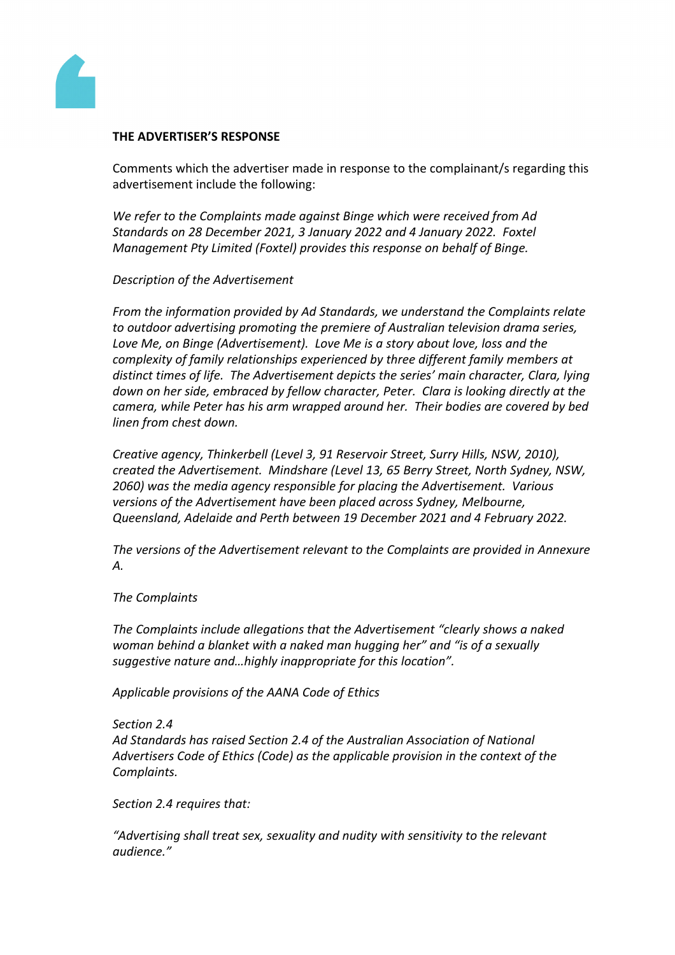

#### **THE ADVERTISER'S RESPONSE**

Comments which the advertiser made in response to the complainant/s regarding this advertisement include the following:

*We refer to the Complaints made against Binge which were received from Ad Standards on 28 December 2021, 3 January 2022 and 4 January 2022. Foxtel Management Pty Limited (Foxtel) provides this response on behalf of Binge.*

#### *Description of the Advertisement*

*From the information provided by Ad Standards, we understand the Complaints relate to outdoor advertising promoting the premiere of Australian television drama series, Love Me, on Binge (Advertisement). Love Me is a story about love, loss and the complexity of family relationships experienced by three different family members at distinct times of life. The Advertisement depicts the series' main character, Clara, lying down on her side, embraced by fellow character, Peter. Clara is looking directly at the camera, while Peter has his arm wrapped around her. Their bodies are covered by bed linen from chest down.* 

*Creative agency, Thinkerbell (Level 3, 91 Reservoir Street, Surry Hills, NSW, 2010), created the Advertisement. Mindshare (Level 13, 65 Berry Street, North Sydney, NSW, 2060) was the media agency responsible for placing the Advertisement. Various versions of the Advertisement have been placed across Sydney, Melbourne, Queensland, Adelaide and Perth between 19 December 2021 and 4 February 2022.*

*The versions of the Advertisement relevant to the Complaints are provided in Annexure A.*

#### *The Complaints*

*The Complaints include allegations that the Advertisement "clearly shows a naked woman behind a blanket with a naked man hugging her" and "is of a sexually suggestive nature and…highly inappropriate for this location".* 

*Applicable provisions of the AANA Code of Ethics*

#### *Section 2.4*

*Ad Standards has raised Section 2.4 of the Australian Association of National Advertisers Code of Ethics (Code) as the applicable provision in the context of the Complaints.*

*Section 2.4 requires that:*

*"Advertising shall treat sex, sexuality and nudity with sensitivity to the relevant audience."*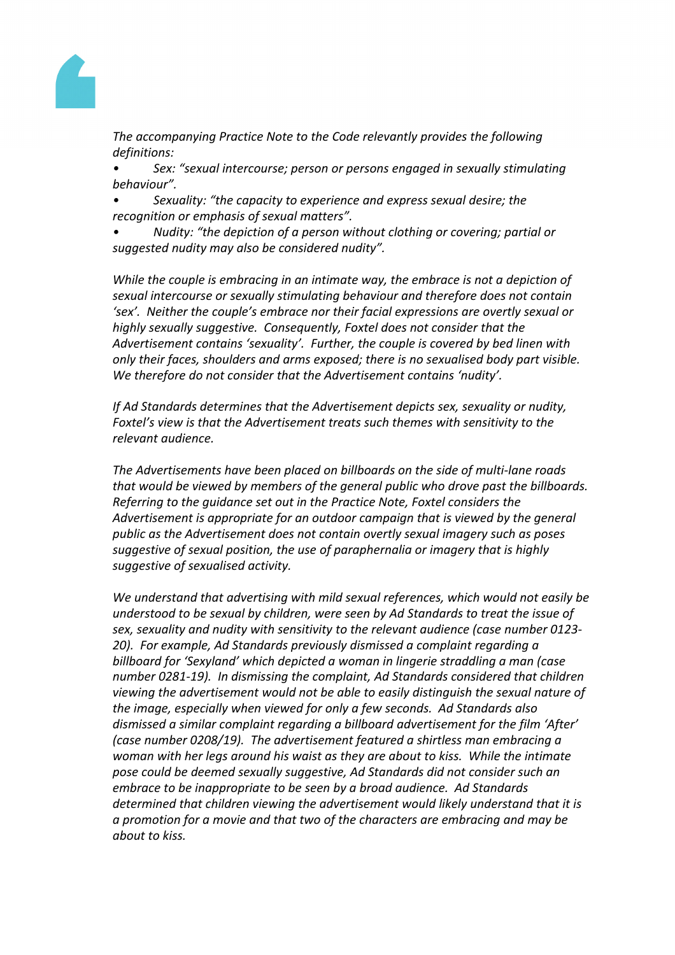

*The accompanying Practice Note to the Code relevantly provides the following definitions:*

*• Sex: "sexual intercourse; person or persons engaged in sexually stimulating behaviour".*

*• Sexuality: "the capacity to experience and express sexual desire; the recognition or emphasis of sexual matters".*

*• Nudity: "the depiction of a person without clothing or covering; partial or suggested nudity may also be considered nudity".*

*While the couple is embracing in an intimate way, the embrace is not a depiction of sexual intercourse or sexually stimulating behaviour and therefore does not contain 'sex'. Neither the couple's embrace nor their facial expressions are overtly sexual or highly sexually suggestive. Consequently, Foxtel does not consider that the Advertisement contains 'sexuality'. Further, the couple is covered by bed linen with only their faces, shoulders and arms exposed; there is no sexualised body part visible. We therefore do not consider that the Advertisement contains 'nudity'.* 

*If Ad Standards determines that the Advertisement depicts sex, sexuality or nudity, Foxtel's view is that the Advertisement treats such themes with sensitivity to the relevant audience.* 

*The Advertisements have been placed on billboards on the side of multi-lane roads that would be viewed by members of the general public who drove past the billboards. Referring to the guidance set out in the Practice Note, Foxtel considers the Advertisement is appropriate for an outdoor campaign that is viewed by the general public as the Advertisement does not contain overtly sexual imagery such as poses suggestive of sexual position, the use of paraphernalia or imagery that is highly suggestive of sexualised activity.*

*We understand that advertising with mild sexual references, which would not easily be understood to be sexual by children, were seen by Ad Standards to treat the issue of sex, sexuality and nudity with sensitivity to the relevant audience (case number 0123- 20). For example, Ad Standards previously dismissed a complaint regarding a billboard for 'Sexyland' which depicted a woman in lingerie straddling a man (case number 0281-19). In dismissing the complaint, Ad Standards considered that children viewing the advertisement would not be able to easily distinguish the sexual nature of the image, especially when viewed for only a few seconds. Ad Standards also dismissed a similar complaint regarding a billboard advertisement for the film 'After' (case number 0208/19). The advertisement featured a shirtless man embracing a woman with her legs around his waist as they are about to kiss. While the intimate pose could be deemed sexually suggestive, Ad Standards did not consider such an embrace to be inappropriate to be seen by a broad audience. Ad Standards determined that children viewing the advertisement would likely understand that it is a promotion for a movie and that two of the characters are embracing and may be about to kiss.*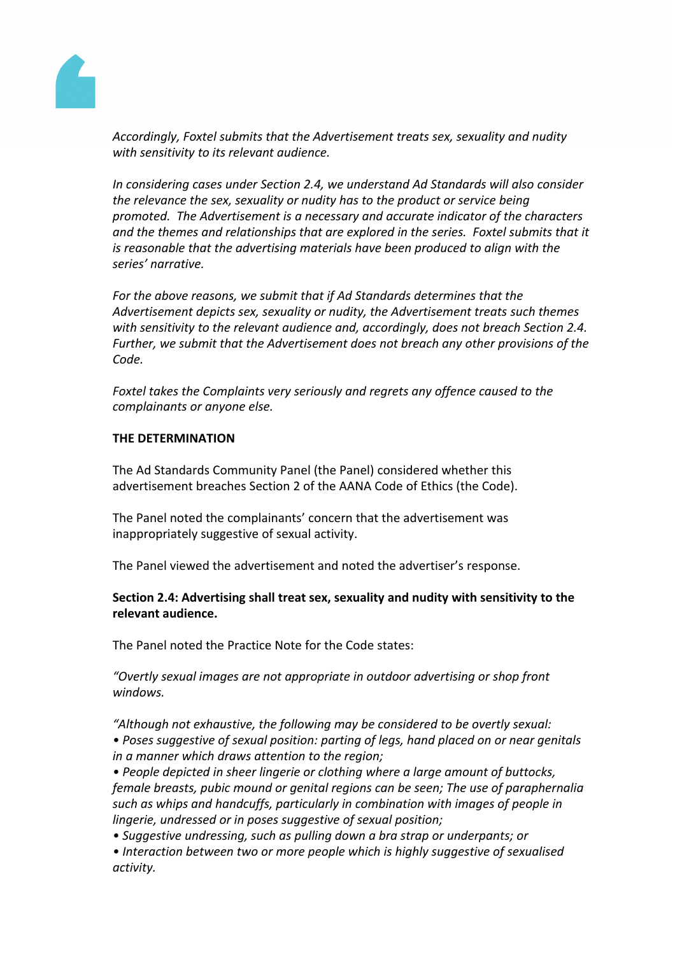

*Accordingly, Foxtel submits that the Advertisement treats sex, sexuality and nudity with sensitivity to its relevant audience.* 

*In considering cases under Section 2.4, we understand Ad Standards will also consider the relevance the sex, sexuality or nudity has to the product or service being promoted. The Advertisement is a necessary and accurate indicator of the characters and the themes and relationships that are explored in the series. Foxtel submits that it is reasonable that the advertising materials have been produced to align with the series' narrative.* 

*For the above reasons, we submit that if Ad Standards determines that the Advertisement depicts sex, sexuality or nudity, the Advertisement treats such themes with sensitivity to the relevant audience and, accordingly, does not breach Section 2.4. Further, we submit that the Advertisement does not breach any other provisions of the Code.*

*Foxtel takes the Complaints very seriously and regrets any offence caused to the complainants or anyone else.*

## **THE DETERMINATION**

The Ad Standards Community Panel (the Panel) considered whether this advertisement breaches Section 2 of the AANA Code of Ethics (the Code).

The Panel noted the complainants' concern that the advertisement was inappropriately suggestive of sexual activity.

The Panel viewed the advertisement and noted the advertiser's response.

**Section 2.4: Advertising shall treat sex, sexuality and nudity with sensitivity to the relevant audience.**

The Panel noted the Practice Note for the Code states:

*"Overtly sexual images are not appropriate in outdoor advertising or shop front windows.*

*"Although not exhaustive, the following may be considered to be overtly sexual: • Poses suggestive of sexual position: parting of legs, hand placed on or near genitals in a manner which draws attention to the region;*

*• People depicted in sheer lingerie or clothing where a large amount of buttocks, female breasts, pubic mound or genital regions can be seen; The use of paraphernalia such as whips and handcuffs, particularly in combination with images of people in lingerie, undressed or in poses suggestive of sexual position;*

*• Suggestive undressing, such as pulling down a bra strap or underpants; or*

*• Interaction between two or more people which is highly suggestive of sexualised activity.*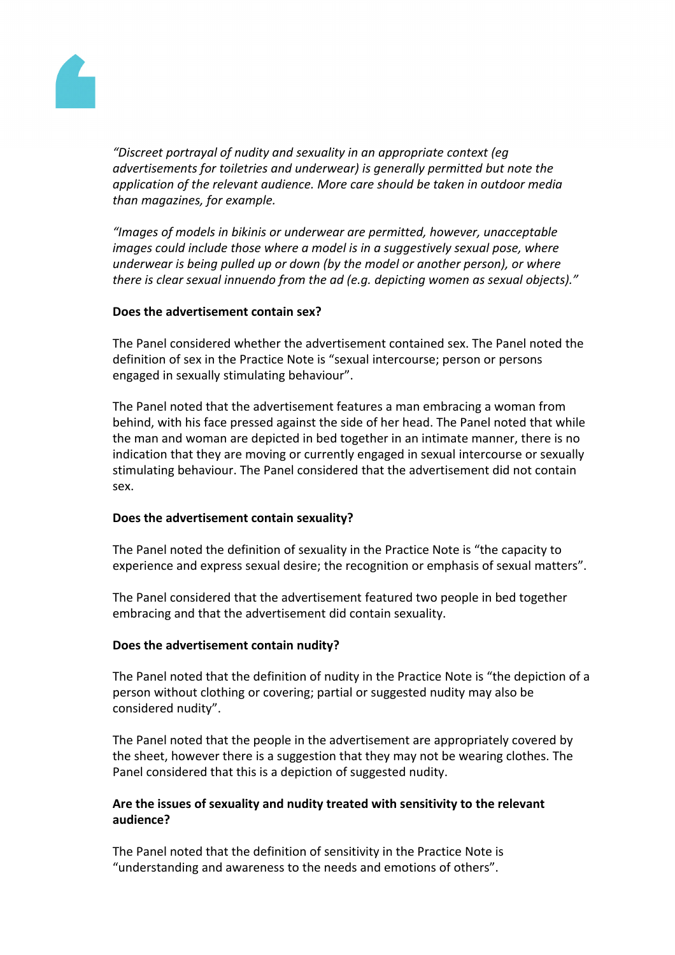

*"Discreet portrayal of nudity and sexuality in an appropriate context (eg advertisements for toiletries and underwear) is generally permitted but note the application of the relevant audience. More care should be taken in outdoor media than magazines, for example.*

*"Images of models in bikinis or underwear are permitted, however, unacceptable images could include those where a model is in a suggestively sexual pose, where underwear is being pulled up or down (by the model or another person), or where there is clear sexual innuendo from the ad (e.g. depicting women as sexual objects)."*

## **Does the advertisement contain sex?**

The Panel considered whether the advertisement contained sex. The Panel noted the definition of sex in the Practice Note is "sexual intercourse; person or persons engaged in sexually stimulating behaviour".

The Panel noted that the advertisement features a man embracing a woman from behind, with his face pressed against the side of her head. The Panel noted that while the man and woman are depicted in bed together in an intimate manner, there is no indication that they are moving or currently engaged in sexual intercourse or sexually stimulating behaviour. The Panel considered that the advertisement did not contain sex.

## **Does the advertisement contain sexuality?**

The Panel noted the definition of sexuality in the Practice Note is "the capacity to experience and express sexual desire; the recognition or emphasis of sexual matters".

The Panel considered that the advertisement featured two people in bed together embracing and that the advertisement did contain sexuality.

#### **Does the advertisement contain nudity?**

The Panel noted that the definition of nudity in the Practice Note is "the depiction of a person without clothing or covering; partial or suggested nudity may also be considered nudity".

The Panel noted that the people in the advertisement are appropriately covered by the sheet, however there is a suggestion that they may not be wearing clothes. The Panel considered that this is a depiction of suggested nudity.

## **Are the issues of sexuality and nudity treated with sensitivity to the relevant audience?**

The Panel noted that the definition of sensitivity in the Practice Note is "understanding and awareness to the needs and emotions of others".